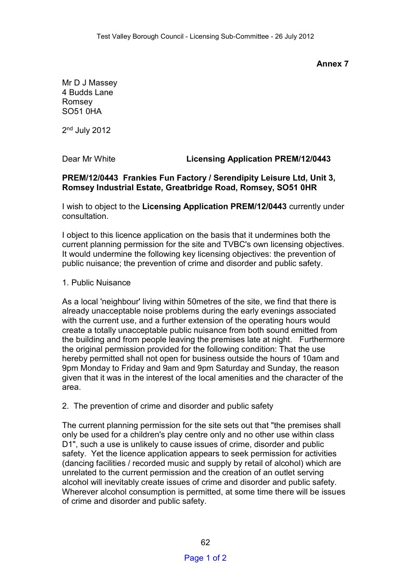**Annex 7** 

Mr D J Massey 4 Budds Lane Romsey SO51 0HA

2<sup>nd</sup> July 2012

Dear Mr White **Licensing Application PREM/12/0443**

## **PREM/12/0443 Frankies Fun Factory / Serendipity Leisure Ltd, Unit 3, Romsey Industrial Estate, Greatbridge Road, Romsey, SO51 0HR**

I wish to object to the **Licensing Application PREM/12/0443** currently under consultation.

I object to this licence application on the basis that it undermines both the current planning permission for the site and TVBC's own licensing objectives. It would undermine the following key licensing objectives: the prevention of public nuisance; the prevention of crime and disorder and public safety.

## 1. Public Nuisance

As a local 'neighbour' living within 50metres of the site, we find that there is already unacceptable noise problems during the early evenings associated with the current use, and a further extension of the operating hours would create a totally unacceptable public nuisance from both sound emitted from the building and from people leaving the premises late at night. Furthermore the original permission provided for the following condition: That the use hereby permitted shall not open for business outside the hours of 10am and 9pm Monday to Friday and 9am and 9pm Saturday and Sunday, the reason given that it was in the interest of the local amenities and the character of the area.

## 2. The prevention of crime and disorder and public safety

The current planning permission for the site sets out that "the premises shall only be used for a children's play centre only and no other use within class D1", such a use is unlikely to cause issues of crime, disorder and public safety. Yet the licence application appears to seek permission for activities (dancing facilities / recorded music and supply by retail of alcohol) which are unrelated to the current permission and the creation of an outlet serving alcohol will inevitably create issues of crime and disorder and public safety. Wherever alcohol consumption is permitted, at some time there will be issues of crime and disorder and public safety.